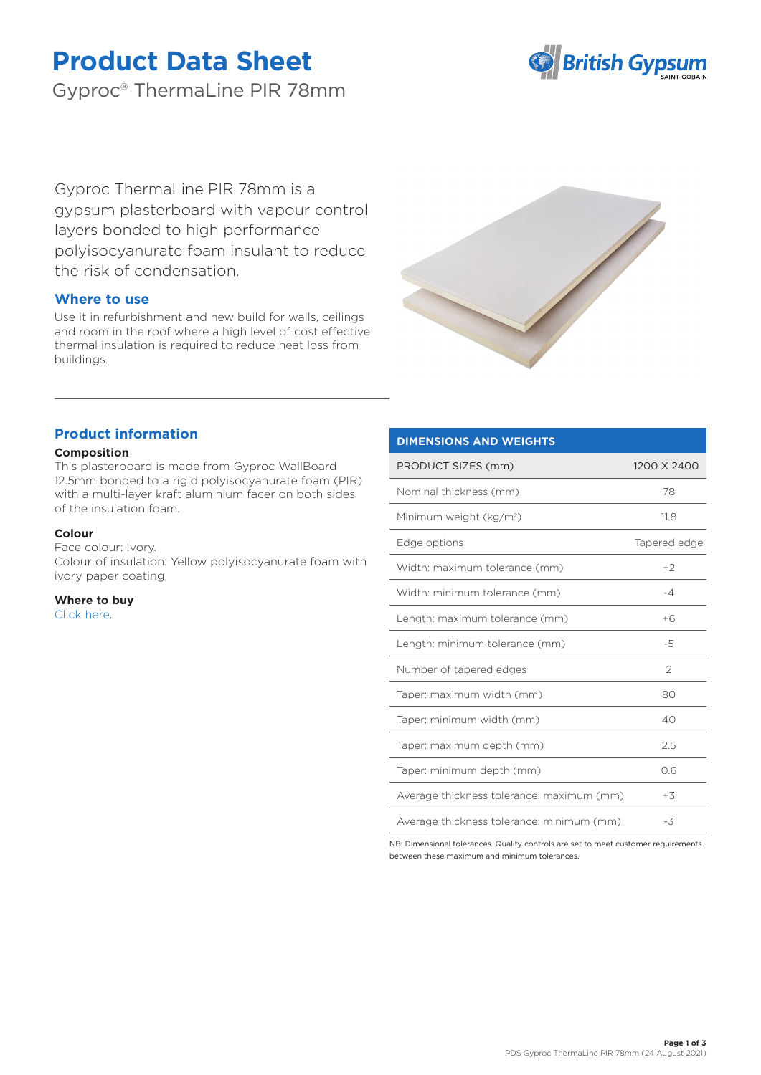# **Product Data Sheet**

Gyproc® ThermaLine PIR 78mm



Gyproc ThermaLine PIR 78mm is a gypsum plasterboard with vapour control layers bonded to high performance polyisocyanurate foam insulant to reduce the risk of condensation.

## **Where to use**

Use it in refurbishment and new build for walls, ceilings and room in the roof where a high level of cost effective thermal insulation is required to reduce heat loss from buildings.



## **Product information**

#### **Composition**

This plasterboard is made from Gyproc WallBoard 12.5mm bonded to a rigid polyisocyanurate foam (PIR) with a multi-layer kraft aluminium facer on both sides of the insulation foam.

#### **Colour**

Face colour: Ivory. Colour of insulation: Yellow polyisocyanurate foam with ivory paper coating.

**Where to buy** [Click here.](https://www.british-gypsum.com/stockist-locator)

### **DIMENSIONS AND WEIGHTS**

| PRODUCT SIZES (mm)                        | 1200 X 2400   |
|-------------------------------------------|---------------|
| Nominal thickness (mm)                    | 78            |
| Minimum weight (kg/m <sup>2</sup> )       | 11.8          |
| Edge options                              | Tapered edge  |
| Width: maximum tolerance (mm)             | $+2$          |
| Width: minimum tolerance (mm)             | $-4$          |
| Length: maximum tolerance (mm)            | $+6$          |
| Length: minimum tolerance (mm)            | -5            |
| Number of tapered edges                   | $\mathcal{P}$ |
| Taper: maximum width (mm)                 | 80            |
| Taper: minimum width (mm)                 | 40            |
| Taper: maximum depth (mm)                 | 2.5           |
| Taper: minimum depth (mm)                 | 0.6           |
| Average thickness tolerance: maximum (mm) | $+3$          |
| Average thickness tolerance: minimum (mm) | -3            |

NB: Dimensional tolerances. Quality controls are set to meet customer requirements between these maximum and minimum tolerances.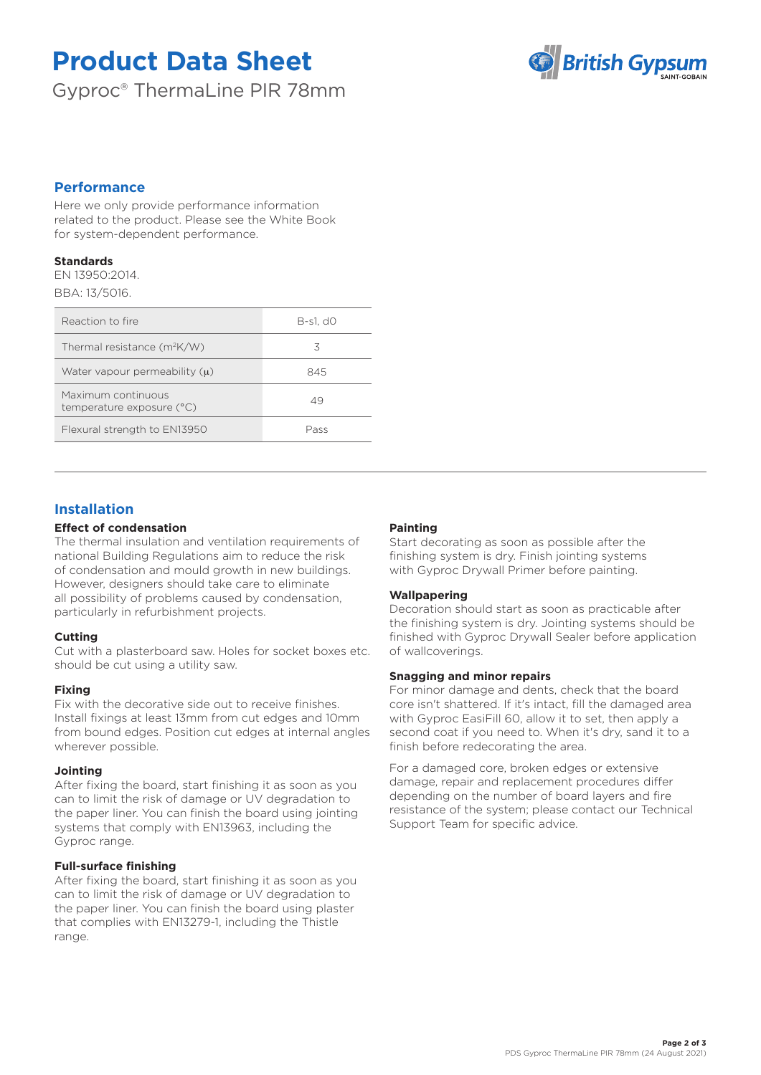# **Product Data Sheet**

Gyproc® ThermaLine PIR 78mm



### **Performance**

Here we only provide performance information related to the product. Please see the White Book for system-dependent performance.

#### **Standards**

EN 13950:2014. BBA: 13/5016.

| Reaction to fire                                | $B-s1, d0$ |
|-------------------------------------------------|------------|
| Thermal resistance $(m^2K/W)$                   | 3          |
| Water vapour permeability $(u)$                 | 845        |
| Maximum continuous<br>temperature exposure (°C) | 49         |
| Flexural strength to EN13950                    | Pass       |

# **Installation**

#### **Effect of condensation**

The thermal insulation and ventilation requirements of national Building Regulations aim to reduce the risk of condensation and mould growth in new buildings. However, designers should take care to eliminate all possibility of problems caused by condensation, particularly in refurbishment projects.

#### **Cutting**

Cut with a plasterboard saw. Holes for socket boxes etc. should be cut using a utility saw.

#### **Fixing**

Fix with the decorative side out to receive finishes. Install fixings at least 13mm from cut edges and 10mm from bound edges. Position cut edges at internal angles wherever possible.

#### **Jointing**

After fixing the board, start finishing it as soon as you can to limit the risk of damage or UV degradation to the paper liner. You can finish the board using jointing systems that comply with EN13963, including the Gyproc range.

#### **Full-surface finishing**

After fixing the board, start finishing it as soon as you can to limit the risk of damage or UV degradation to the paper liner. You can finish the board using plaster that complies with EN13279-1, including the Thistle range.

#### **Painting**

Start decorating as soon as possible after the finishing system is dry. Finish jointing systems with Gyproc Drywall Primer before painting.

#### **Wallpapering**

Decoration should start as soon as practicable after the finishing system is dry. Jointing systems should be finished with Gyproc Drywall Sealer before application of wallcoverings.

#### **Snagging and minor repairs**

For minor damage and dents, check that the board core isn't shattered. If it's intact, fill the damaged area with Gyproc EasiFill 60, allow it to set, then apply a second coat if you need to. When it's dry, sand it to a finish before redecorating the area.

For a damaged core, broken edges or extensive damage, repair and replacement procedures differ depending on the number of board layers and fire resistance of the system; please contact our Technical Support Team for specific advice.